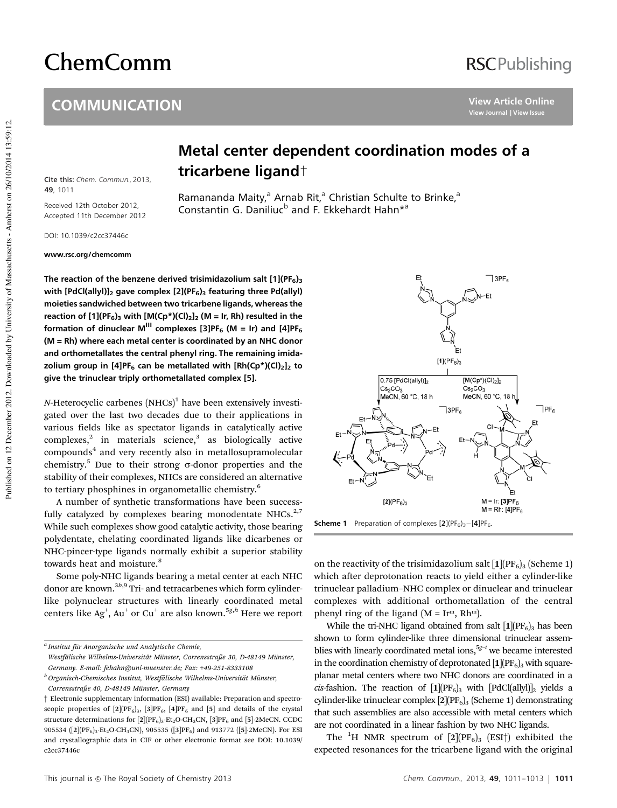# ChemComm

#### **COMMUNICATION**

## **RSCPublishing**

**View Article Online View Journal | View Issue**

Published on 12 December 2012. Downloaded by University of Massachusetts - Amherst on 26/10/2014 13:59:12. Published on 12 December 2012. Downloaded by University of Massachusetts - Amherst on 26/10/2014 13:59:12.

### Metal center dependent coordination modes of a tricarbene ligand†

Ramananda Maity,<sup>a</sup> Arnab Rit,<sup>a</sup> Christian Schulte to Brinke,<sup>a</sup> Constantin G. Daniliuc<sup>b</sup> and F. Ekkehardt Hahn\*<sup>a</sup>

DOI: 10.1039/c2cc37446c

**49**, 1011

Cite this: Chem. Commun., 2013,

Received 12th October 2012, Accepted 11th December 2012

www.rsc.org/chemcomm

The reaction of the benzene derived trisimidazolium salt  $[1](PF_6)$ <sub>3</sub> with [PdCl(allyl)]<sub>2</sub> gave complex [2](PF<sub>6</sub>)<sub>3</sub> featuring three Pd(allyl) moieties sandwiched between two tricarbene ligands, whereas the reaction of  $[1](PF_6)$ <sub>3</sub> with  $[M(Cp^*)(Cl)_2]_2$  (M = Ir, Rh) resulted in the formation of dinuclear M<sup>III</sup> complexes [3]PF<sub>6</sub> (M = Ir) and [4]PF<sub>6</sub> (M = Rh) where each metal center is coordinated by an NHC donor and orthometallates the central phenyl ring. The remaining imidazolium group in [4]PF<sub>6</sub> can be metallated with  $[Rh(Cp<sup>*</sup>)(Cl)<sub>2</sub>]$ <sub>2</sub> to give the trinuclear triply orthometallated complex [5].

*N*-Heterocyclic carbenes (NHCs)<sup>1</sup> have been extensively investigated over the last two decades due to their applications in various fields like as spectator ligands in catalytically active  $complexes<sub>1</sub><sup>2</sup>$  in materials science,<sup>3</sup> as biologically active compounds<sup>4</sup> and very recently also in metallosupramolecular chemistry.<sup>5</sup> Due to their strong  $\sigma$ -donor properties and the stability of their complexes, NHCs are considered an alternative to tertiary phosphines in organometallic chemistry.<sup>6</sup>

A number of synthetic transformations have been successfully catalyzed by complexes bearing monodentate NHCs. $2,7$ While such complexes show good catalytic activity, those bearing polydentate, chelating coordinated ligands like dicarbenes or NHC-pincer-type ligands normally exhibit a superior stability towards heat and moisture.<sup>8</sup>

Some poly-NHC ligands bearing a metal center at each NHC donor are known.<sup>3b,9</sup> Tri- and tetracarbenes which form cylinderlike polynuclear structures with linearly coordinated metal centers like Ag<sup>+</sup> , Au<sup>+</sup> or Cu<sup>+</sup> are also known.5*g*,*<sup>h</sup>* Here we report



**Scheme 1** Preparation of complexes  $[2](PF_6)_3 - [4]PF_6$ .

on the reactivity of the trisimidazolium salt  $[1] (PF_6)_3$  (Scheme 1) which after deprotonation reacts to yield either a cylinder-like trinuclear palladium–NHC complex or dinuclear and trinuclear complexes with additional orthometallation of the central phenyl ring of the ligand ( $M = Ir<sup>m</sup>$ , Rh<sup>m</sup>).

While the tri-NHC ligand obtained from salt  $[1](PF_6)$ <sub>3</sub> has been shown to form cylinder-like three dimensional trinuclear assemblies with linearly coordinated metal ions,  $5g-i$  we became interested in the coordination chemistry of deprotonated  $[1]$ ( $[PF_6]_3$  with squareplanar metal centers where two NHC donors are coordinated in a *cis*-fashion. The reaction of  $[1] (PF_6)$ <sub>3</sub> with  $[PdCl(ally)]_2$  yields a cylinder-like trinuclear complex  $[2]$ ( $PF_6$ )<sub>3</sub> (Scheme 1) demonstrating that such assemblies are also accessible with metal centers which are not coordinated in a linear fashion by two NHC ligands.

The <sup>1</sup>H NMR spectrum of  $[2](PF_6)$ <sub>3</sub> (ESI<sup>†</sup>) exhibited the expected resonances for the tricarbene ligand with the original

*a Institut fu¨r Anorganische und Analytische Chemie,*

*Westfa¨lische Wilhelms-Universita¨t Mu¨nster, Corrensstraße 30, D-48149 Mu¨nster, Germany. E-mail: fehahn@uni-muenster.de; Fax:* +*49-251-8333108*

<sup>&</sup>lt;sup>*b*</sup> Organisch-Chemisches Institut, Westfälische Wilhelms-Universität Münster, *Corrensstraße 40, D-48149 Mu¨nster, Germany*

<sup>†</sup> Electronic supplementary information (ESI) available: Preparation and spectroscopic properties of  $[2](PF_6)_3$ ,  $[3]PF_6$ ,  $[4]PF_6$  and  $[5]$  and details of the crystal structure determinations for  $[2](PF_6)_3$  Et<sub>2</sub>O·CH<sub>3</sub>CN,  $[3]PF_6$  and  $[5]$ ·2MeCN. CCDC 905534 ( $[2] (PF_6)_3$ ·Et<sub>2</sub>O·CH<sub>3</sub>CN), 905535 ( $[3] PF_6$ ) and 913772 ( $[5]$ ·2MeCN). For ESI and crystallographic data in CIF or other electronic format see DOI: 10.1039/ c2cc37446c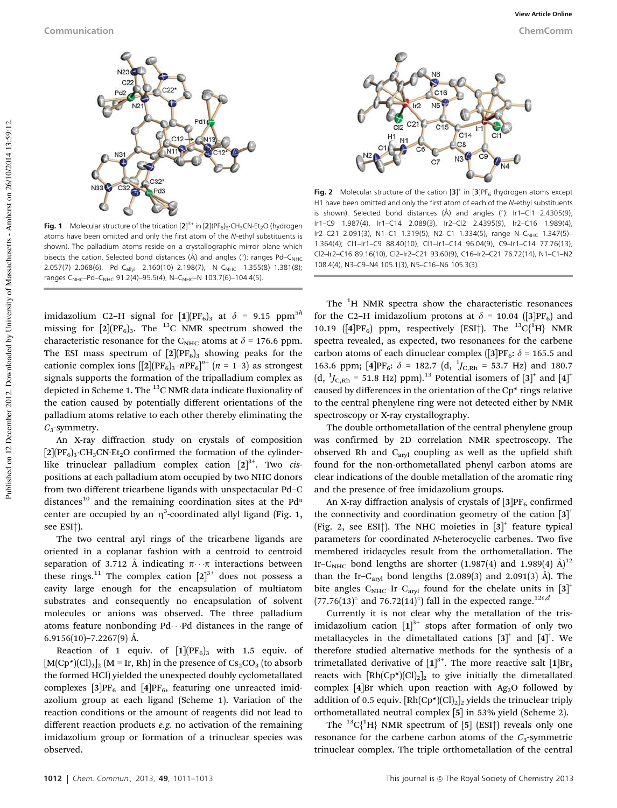

**Fig. 1** Molecular structure of the trication [2]<sup>3+</sup> in [2](PF<sub>6</sub>)<sub>3</sub>.CH<sub>3</sub>CN-Et<sub>2</sub>O (hydrogen atoms have been omitted and only the first atom of the N-ethyl substituents is shown). The palladium atoms reside on a crystallographic mirror plane which bisects the cation. Selected bond distances (Å) and angles ( $\degree$ ): ranges Pd–C<sub>NHC</sub> 2.057(7)–2.068(6), Pd–C<sub>allyl</sub> 2.160(10)–2.198(7), N–C<sub>NHC</sub> 1.355(8)–1.381(8); ranges C<sub>NHC</sub>–Pd–C<sub>NHC</sub> 91.2(4)–95.5(4), N–C<sub>NHC</sub>–N 103.7(6)–104.4(5).

imidazolium C2-H signal for  $[1](PF_6)$ <sub>3</sub> at  $\delta = 9.15$  ppm<sup>5h</sup> missing for  $[2](PF_6)$ <sub>3</sub>. The <sup>13</sup>C NMR spectrum showed the characteristic resonance for the C<sub>NHC</sub> atoms at  $\delta$  = 176.6 ppm. The ESI mass spectrum of  $[2] (PF_6)$ <sub>3</sub> showing peaks for the cationic complex ions  $[[2](PF_6)_3-nPF_6]^{n^+}$   $(n = 1-3)$  as strongest signals supports the formation of the tripalladium complex as depicted in Scheme 1. The  $^{13}$ C NMR data indicate fluxionality of the cation caused by potentially different orientations of the palladium atoms relative to each other thereby eliminating the *C*3-symmetry.

An X-ray diffraction study on crystals of composition  $[2]$ (PF<sub>6</sub>)<sub>3</sub>·CH<sub>3</sub>CN·Et<sub>2</sub>O confirmed the formation of the cylinderlike trinuclear palladium complex cation  $[2]^{3+}$ . Two *cis*positions at each palladium atom occupied by two NHC donors from two different tricarbene ligands with unspectacular Pd–C distances<sup>10</sup> and the remaining coordination sites at the Pd<sup>II</sup> center are occupied by an  $\eta^3$ -coordinated allyl ligand (Fig. 1, see ESI†).

The two central aryl rings of the tricarbene ligands are oriented in a coplanar fashion with a centroid to centroid separation of 3.712 Å indicating  $\pi \cdot \cdot \pi$  interactions between these rings.<sup>11</sup> The complex cation  $[2]^{3+}$  does not possess a cavity large enough for the encapsulation of multiatom substrates and consequently no encapsulation of solvent molecules or anions was observed. The three palladium atoms feature nonbonding  $Pd \cdots Pd$  distances in the range of 6.9156(10)–7.2267(9) Å.

Reaction of 1 equiv. of  $[1](PF_6)$ <sub>3</sub> with 1.5 equiv. of  $[M(Cp^*)(Cl)_2]_2$  (M = Ir, Rh) in the presence of  $Cs_2CO_3$  (to absorb the formed HCl) yielded the unexpected doubly cyclometallated complexes  $[3]PF_6$  and  $[4]PF_6$ , featuring one unreacted imidazolium group at each ligand (Scheme 1). Variation of the reaction conditions or the amount of reagents did not lead to different reaction products *e.g.* no activation of the remaining imidazolium group or formation of a trinuclear species was observed.



Fig. 2 Molecular structure of the cation  $[3]^+$  in  $[3]$ PF<sub>6</sub> (hydrogen atoms except H1 have been omitted and only the first atom of each of the N-ethyl substituents is shown). Selected bond distances  $(A)$  and angles  $(°)$ : Ir1–Cl1 2.4305(9), Ir1–C9 1.987(4), Ir1–C14 2.089(3), Ir2–Cl2 2.4395(9), Ir2–C16 1.989(4), Ir2-C21 2.091(3), N1-C1 1.319(5), N2-C1 1.334(5), range N-CNHC 1.347(5)-1.364(4); Cl1–Ir1–C9 88.40(10), Cl1–Ir1–C14 96.04(9), C9–Ir1–C14 77.76(13), Cl2–Ir2–C16 89.16(10), Cl2–Ir2–C21 93.60(9), C16–Ir2–C21 76.72(14), N1–C1–N2 108.4(4), N3–C9–N4 105.1(3), N5–C16–N6 105.3(3).

The <sup>1</sup>H NMR spectra show the characteristic resonances for the C2–H imidazolium protons at  $\delta = 10.04$  ([3]PF<sub>6</sub>) and 10.19 ([4]PF<sub>6</sub>) ppm, respectively (ESI<sup>†</sup>). The  $^{13}C_1^{1}H$ } NMR spectra revealed, as expected, two resonances for the carbene carbon atoms of each dinuclear complex ([3]PF<sub>6</sub>:  $\delta$  = 165.5 and 163.6 ppm; [4]PF<sub>6</sub>:  $\delta$  = 182.7 (d, <sup>1</sup>J<sub>C,Rh</sub> = 53.7 Hz) and 180.7  $(d, {}^{1}J_{C, Rh} = 51.8$  Hz) ppm).<sup>13</sup> Potential isomers of  $[3]^{+}$  and  $[4]^{+}$ caused by differences in the orientation of the Cp\* rings relative to the central phenylene ring were not detected either by NMR spectroscopy or X-ray crystallography.

The double orthometallation of the central phenylene group was confirmed by 2D correlation NMR spectroscopy. The observed Rh and C<sub>aryl</sub> coupling as well as the upfield shift found for the non-orthometallated phenyl carbon atoms are clear indications of the double metallation of the aromatic ring and the presence of free imidazolium groups.

An X-ray diffraction analysis of crystals of  $[3]PF_6$  confirmed the connectivity and coordination geometry of the cation  $[3]$ <sup>+</sup> (Fig. 2, see ESI<sup>†</sup>). The NHC moieties in  $[3]^{+}$  feature typical parameters for coordinated *N*-heterocyclic carbenes. Two five membered iridacycles result from the orthometallation. The Ir–C<sub>NHC</sub> bond lengths are shorter (1.987(4) and 1.989(4)  $\AA$ <sup>12</sup> than the Ir-C<sub>aryl</sub> bond lengths  $(2.089(3)$  and  $2.091(3)$  Å). The bite angles  $C_{NHC}$ -Ir- $C_{\text{aryl}}$  found for the chelate units in [3]<sup>+</sup>  $(77.76(13)°$  and 76.72(14)°) fall in the expected range.<sup>12*c*,*d*</sup>

Currently it is not clear why the metallation of the trisimidazolium cation  $[1]^{3+}$  stops after formation of only two metallacycles in the dimetallated cations  $[3]^{+}$  and  $[4]^{+}$ . We therefore studied alternative methods for the synthesis of a trimetallated derivative of  $\left[1\right]^{3+}$ . The more reactive salt  $\left[1\right]{{\text{Br}}_3}$ reacts with  $[Rh(Cp<sup>*</sup>)(Cl)<sub>2</sub>]$  to give initially the dimetallated complex  $[4]$ Br which upon reaction with Ag<sub>2</sub>O followed by addition of 0.5 equiv.  $[Rh(Cp*)(Cl)_2]_2$  yields the trinuclear triply orthometallated neutral complex [5] in 53% yield (Scheme 2).

The <sup>13</sup>C{<sup>1</sup>H} NMR spectrum of [5] (ESI<sup>†</sup>) reveals only one resonance for the carbene carbon atoms of the  $C_3$ -symmetric trinuclear complex. The triple orthometallation of the central